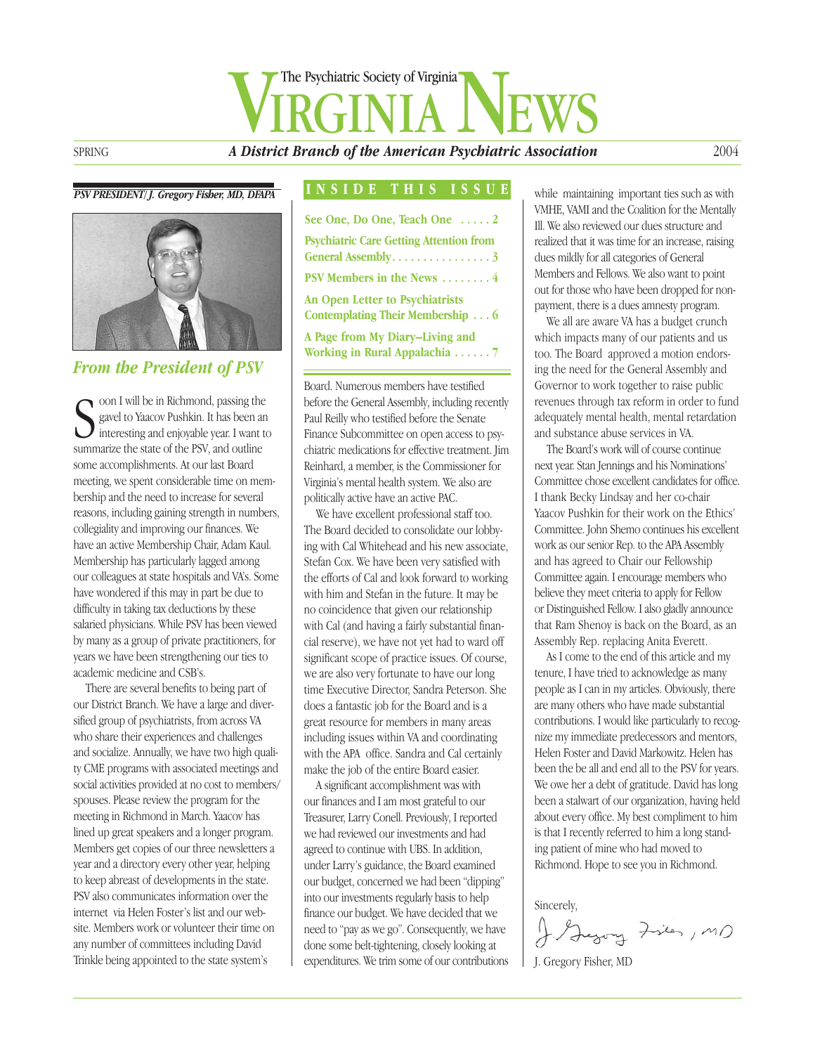# SPRING **A District Branch of the American Psychiatric Association** The Psychiatric Society of Virginia

#### *PSV PRESIDENT/ J. Gregory Fisher, MD, DFAPA*



#### *From the President of PSV*

Soon I will be in Richmond, passing the state of the Salacov Pushkin. It has been a interesting and enjoyable year. I want summarize the state of the PSV, and outline oon I will be in Richmond, passing the gavel to Yaacov Pushkin. It has been an interesting and enjoyable year. I want to some accomplishments. At our last Board meeting, we spent considerable time on membership and the need to increase for several reasons, including gaining strength in numbers, collegiality and improving our finances. We have an active Membership Chair, Adam Kaul. Membership has particularly lagged among our colleagues at state hospitals and VA's. Some have wondered if this may in part be due to difficulty in taking tax deductions by these salaried physicians. While PSV has been viewed by many as a group of private practitioners, for years we have been strengthening our ties to academic medicine and CSB's.

There are several benefits to being part of our District Branch. We have a large and diversified group of psychiatrists, from across VA who share their experiences and challenges and socialize. Annually, we have two high quality CME programs with associated meetings and social activities provided at no cost to members/ spouses. Please review the program for the meeting in Richmond in March. Yaacov has lined up great speakers and a longer program. Members get copies of our three newsletters a year and a directory every other year, helping to keep abreast of developments in the state. PSV also communicates information over the internet via Helen Foster's list and our website. Members work or volunteer their time on any number of committees including David Trinkle being appointed to the state system's

#### **INSIDE THIS ISSUE**

| See One, Do One, Teach One $\dots$ 2                                       |
|----------------------------------------------------------------------------|
| <b>Psychiatric Care Getting Attention from</b><br>General Assembly. 3      |
| PSV Members in the News  4                                                 |
| <b>An Open Letter to Psychiatrists</b><br>Contemplating Their Membership 6 |
| A Page from My Diary-Living and<br>Working in Rural Appalachia 7           |

Board. Numerous members have testified before the General Assembly, including recently Paul Reilly who testified before the Senate Finance Subcommittee on open access to psychiatric medications for effective treatment. Jim Reinhard, a member, is the Commissioner for Virginia's mental health system. We also are politically active have an active PAC.

We have excellent professional staff too. The Board decided to consolidate our lobbying with Cal Whitehead and his new associate, Stefan Cox. We have been very satisfied with the efforts of Cal and look forward to working with him and Stefan in the future. It may be no coincidence that given our relationship with Cal (and having a fairly substantial financial reserve), we have not yet had to ward off significant scope of practice issues. Of course, we are also very fortunate to have our long time Executive Director, Sandra Peterson. She does a fantastic job for the Board and is a great resource for members in many areas including issues within VA and coordinating with the APA office. Sandra and Cal certainly make the job of the entire Board easier.

A significant accomplishment was with our finances and I am most grateful to our Treasurer, Larry Conell. Previously, I reported we had reviewed our investments and had agreed to continue with UBS. In addition, under Larry's guidance, the Board examined our budget, concerned we had been "dipping" into our investments regularly basis to help finance our budget. We have decided that we need to "pay as we go". Consequently, we have done some belt-tightening, closely looking at expenditures. We trim some of our contributions

while maintaining important ties such as with VMHE, VAMI and the Coalition for the Mentally Ill. We also reviewed our dues structure and realized that it was time for an increase, raising dues mildly for all categories of General Members and Fellows. We also want to point out for those who have been dropped for nonpayment, there is a dues amnesty program.

We all are aware VA has a budget crunch which impacts many of our patients and us too. The Board approved a motion endorsing the need for the General Assembly and Governor to work together to raise public revenues through tax reform in order to fund adequately mental health, mental retardation and substance abuse services in VA.

The Board's work will of course continue next year. Stan Jennings and his Nominations' Committee chose excellent candidates for office. I thank Becky Lindsay and her co-chair Yaacov Pushkin for their work on the Ethics' Committee. John Shemo continues his excellent work as our senior Rep. to the APA Assembly and has agreed to Chair our Fellowship Committee again. I encourage members who believe they meet criteria to apply for Fellow or Distinguished Fellow. I also gladly announce that Ram Shenoy is back on the Board, as an Assembly Rep. replacing Anita Everett.

As I come to the end of this article and my tenure, I have tried to acknowledge as many people as I can in my articles. Obviously, there are many others who have made substantial contributions. I would like particularly to recognize my immediate predecessors and mentors, Helen Foster and David Markowitz. Helen has been the be all and end all to the PSV for years. We owe her a debt of gratitude. David has long been a stalwart of our organization, having held about every office. My best compliment to him is that I recently referred to him a long standing patient of mine who had moved to Richmond. Hope to see you in Richmond.

Sincerely,

J. Gegory Fisies, MD

J. Gregory Fisher, MD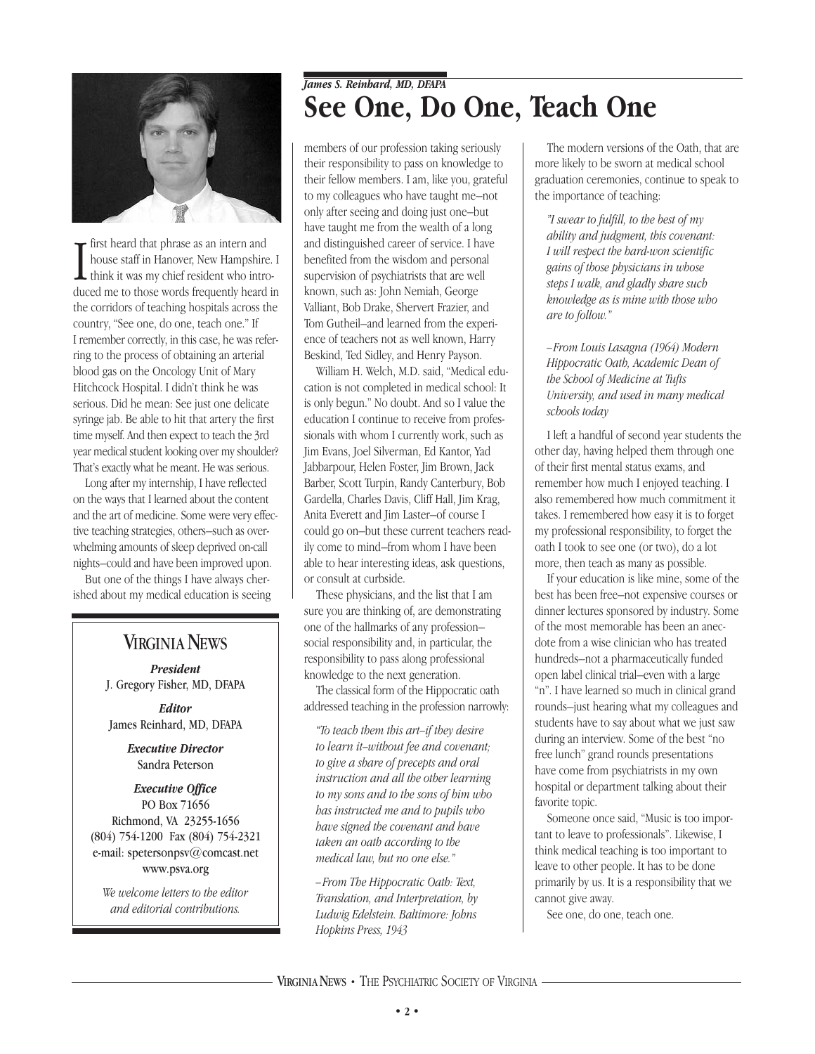

I - first heard that phrase as an intern and house staff in Hanover, New Hampshire. I think it was my chief resident who introduced me to those words frequently heard in the corridors of teaching hospitals across the country, "See one, do one, teach one." If I remember correctly, in this case, he was referring to the process of obtaining an arterial blood gas on the Oncology Unit of Mary Hitchcock Hospital. I didn't think he was serious. Did he mean: See just one delicate syringe jab. Be able to hit that artery the first time myself. And then expect to teach the 3rd year medical student looking over my shoulder? That's exactly what he meant. He was serious.

Long after my internship, I have reflected on the ways that I learned about the content and the art of medicine. Some were very effective teaching strategies, others–such as overwhelming amounts of sleep deprived on-call nights–could and have been improved upon.

But one of the things I have always cherished about my medical education is seeing

#### **VIRGINIA NEWS**

*President* J. Gregory Fisher, MD, DFAPA

*Editor* James Reinhard, MD, DFAPA

> *Executive Director* Sandra Peterson

#### *Executive Office* PO Box 71656 Richmond, VA 23255-1656 (804) 754-1200 Fax (804) 754-2321 e-mail: spetersonpsv@comcast.net www.psva.org

*We welcome letters to the editor and editorial contributions.*

### *James S. Reinhard, MD, DFAPA* **See One, Do One, Teach One**

members of our profession taking seriously their responsibility to pass on knowledge to their fellow members. I am, like you, grateful to my colleagues who have taught me–not only after seeing and doing just one–but have taught me from the wealth of a long and distinguished career of service. I have benefited from the wisdom and personal supervision of psychiatrists that are well known, such as: John Nemiah, George Valliant, Bob Drake, Shervert Frazier, and Tom Gutheil–and learned from the experience of teachers not as well known, Harry Beskind, Ted Sidley, and Henry Payson.

William H. Welch, M.D. said, "Medical education is not completed in medical school: It is only begun." No doubt. And so I value the education I continue to receive from professionals with whom I currently work, such as Jim Evans, Joel Silverman, Ed Kantor, Yad Jabbarpour, Helen Foster, Jim Brown, Jack Barber, Scott Turpin, Randy Canterbury, Bob Gardella, Charles Davis, Cliff Hall, Jim Krag, Anita Everett and Jim Laster–of course I could go on–but these current teachers readily come to mind–from whom I have been able to hear interesting ideas, ask questions, or consult at curbside.

These physicians, and the list that I am sure you are thinking of, are demonstrating one of the hallmarks of any profession– social responsibility and, in particular, the responsibility to pass along professional knowledge to the next generation.

The classical form of the Hippocratic oath addressed teaching in the profession narrowly:

*"To teach them this art–if they desire to learn it–without fee and covenant; to give a share of precepts and oral instruction and all the other learning to my sons and to the sons of him who has instructed me and to pupils who have signed the covenant and have taken an oath according to the medical law, but no one else."*

*–From The Hippocratic Oath: Text, Translation, and Interpretation, by Ludwig Edelstein. Baltimore: Johns Hopkins Press, 1943*

The modern versions of the Oath, that are more likely to be sworn at medical school graduation ceremonies, continue to speak to the importance of teaching:

*"I swear to fulfill, to the best of my ability and judgment, this covenant: I will respect the hard-won scientific gains of those physicians in whose steps I walk, and gladly share such knowledge as is mine with those who are to follow."* 

*–From Louis Lasagna (1964) Modern Hippocratic Oath, Academic Dean of the School of Medicine at Tufts University, and used in many medical schools today*

I left a handful of second year students the other day, having helped them through one of their first mental status exams, and remember how much I enjoyed teaching. I also remembered how much commitment it takes. I remembered how easy it is to forget my professional responsibility, to forget the oath I took to see one (or two), do a lot more, then teach as many as possible.

If your education is like mine, some of the best has been free–not expensive courses or dinner lectures sponsored by industry. Some of the most memorable has been an anecdote from a wise clinician who has treated hundreds–not a pharmaceutically funded open label clinical trial–even with a large "n". I have learned so much in clinical grand rounds–just hearing what my colleagues and students have to say about what we just saw during an interview. Some of the best "no free lunch" grand rounds presentations have come from psychiatrists in my own hospital or department talking about their favorite topic.

Someone once said, "Music is too important to leave to professionals". Likewise, I think medical teaching is too important to leave to other people. It has to be done primarily by us. It is a responsibility that we cannot give away.

See one, do one, teach one.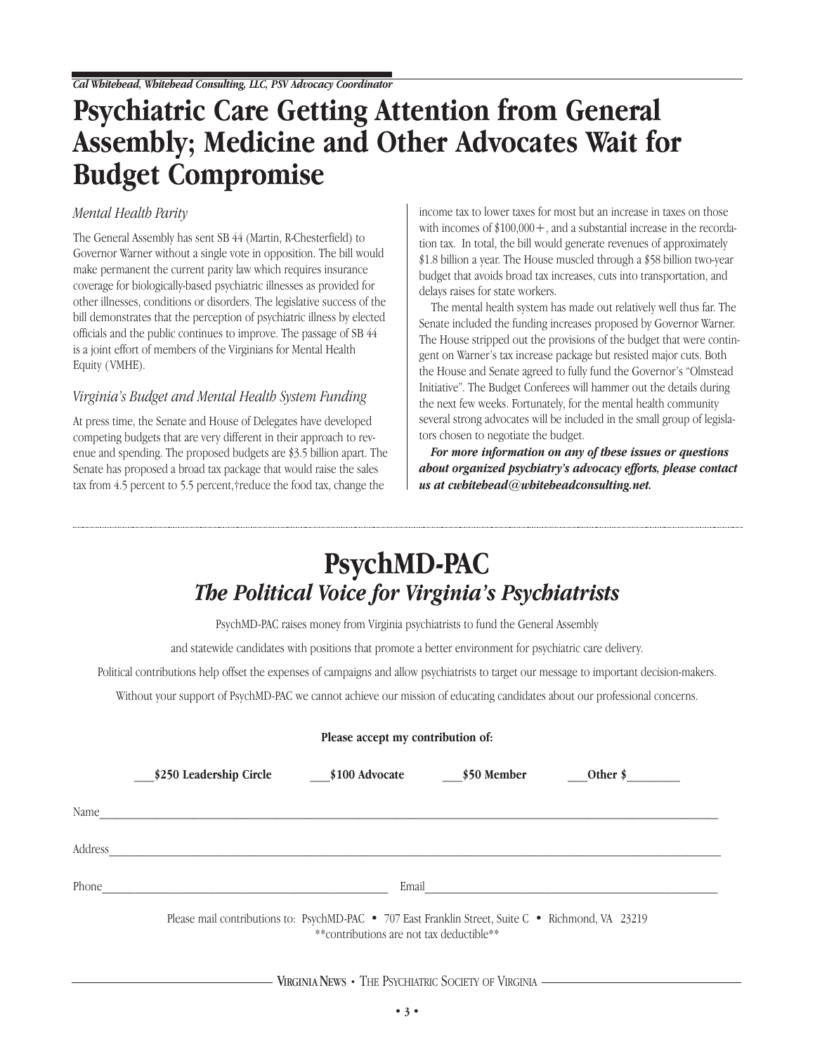### **Psychiatric Care Getting Attention from General Assembly; Medicine and Other Advocates Wait for Budget Compromise**

#### *Mental Health Parity*

The General Assembly has sent SB 44 (Martin, R-Chesterfield) to Governor Warner without a single vote in opposition. The bill would make permanent the current parity law which requires insurance coverage for biologically-based psychiatric illnesses as provided for other illnesses, conditions or disorders. The legislative success of the bill demonstrates that the perception of psychiatric illness by elected officials and the public continues to improve. The passage of SB 44 is a joint effort of members of the Virginians for Mental Health Equity ( VMHE).

#### *Virginia's Budget and Mental Health System Funding*

At press time, the Senate and House of Delegates have developed competing budgets that are very different in their approach to revenue and spending. The proposed budgets are \$3.5 billion apart. The Senate has proposed a broad tax package that would raise the sales tax from 4.5 percent to 5.5 percent,†reduce the food tax, change the

income tax to lower taxes for most but an increase in taxes on those with incomes of  $$100,000+$ , and a substantial increase in the recordation tax. In total, the bill would generate revenues of approximately \$1.8 billion a year. The House muscled through a \$58 billion two-year budget that avoids broad tax increases, cuts into transportation, and delays raises for state workers.

The mental health system has made out relatively well thus far. The Senate included the funding increases proposed by Governor Warner. The House stripped out the provisions of the budget that were contingent on Warner's tax increase package but resisted major cuts. Both the House and Senate agreed to fully fund the Governor's "Olmstead Initiative". The Budget Conferees will hammer out the details during the next few weeks. Fortunately, for the mental health community several strong advocates will be included in the small group of legislators chosen to negotiate the budget.

*For more information on any of these issues or questions about organized psychiatry's advocacy efforts, please contact us at cwhitehead@whiteheadconsulting.net.*

### **PsychMD-PAC** *The Political Voice for Virginia's Psychiatrists*

PsychMD-PAC raises money from Virginia psychiatrists to fund the General Assembly

and statewide candidates with positions that promote a better environment for psychiatric care delivery.

Political contributions help offset the expenses of campaigns and allow psychiatrists to target our message to important decision-makers.

Without your support of PsychMD-PAC we cannot achieve our mission of educating candidates about our professional concerns.

|         | Please accept my contribution of: |                                                                                                                                                |             |                     |  |  |
|---------|-----------------------------------|------------------------------------------------------------------------------------------------------------------------------------------------|-------------|---------------------|--|--|
|         | \$250 Leadership Circle           | \$100 Advocate                                                                                                                                 | \$50 Member | Other $\frac{1}{2}$ |  |  |
| Name    |                                   |                                                                                                                                                |             |                     |  |  |
| Address |                                   |                                                                                                                                                |             |                     |  |  |
| Phone   |                                   | Email                                                                                                                                          |             |                     |  |  |
|         |                                   | Please mail contributions to: PsychMD-PAC • 707 East Franklin Street, Suite C • Richmond, VA 23219<br>**contributions are not tax deductible** |             |                     |  |  |

#### VIRGINIANEWS **•** THE PSYCHIATRIC SOCIETY OF VIRGINIA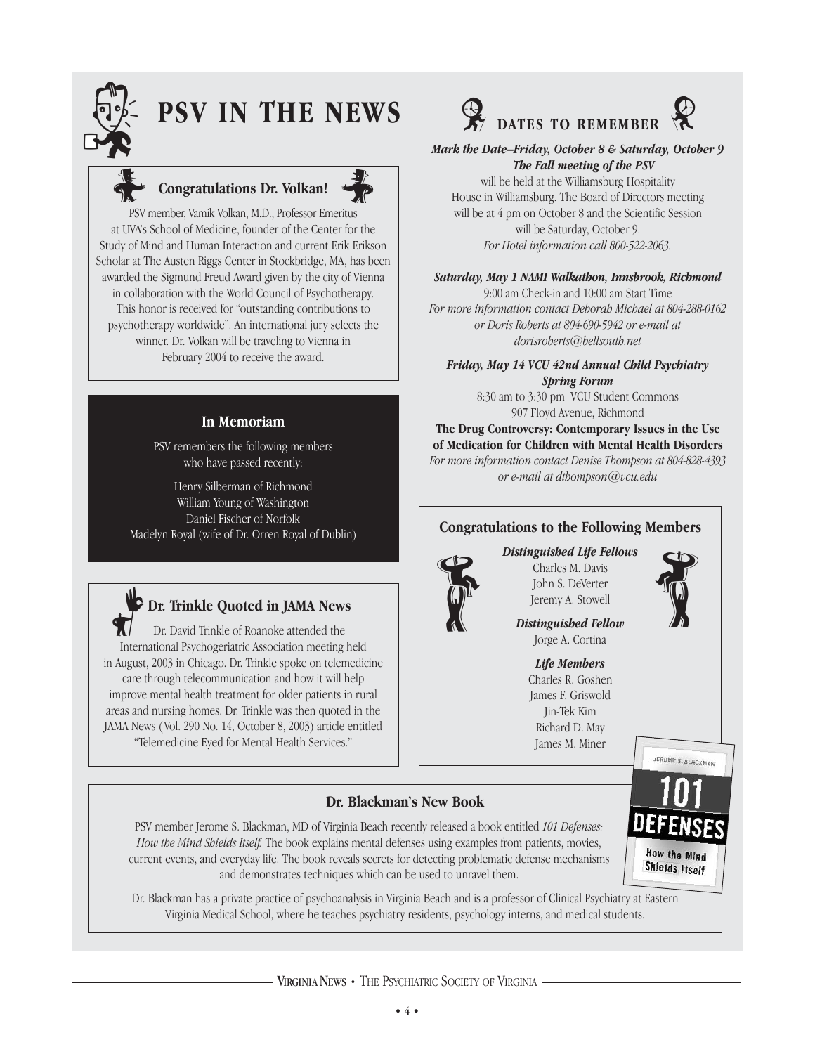

## **PSV IN THE NEWS**



## Congratulations Dr. Volkan!



PSV member, Vamik Volkan, M.D., Professor Emeritus at UVA's School of Medicine, founder of the Center for the Study of Mind and Human Interaction and current Erik Erikson Scholar at The Austen Riggs Center in Stockbridge, MA, has been awarded the Sigmund Freud Award given by the city of Vienna in collaboration with the World Council of Psychotherapy. This honor is received for "outstanding contributions to psychotherapy worldwide". An international jury selects the winner. Dr. Volkan will be traveling to Vienna in February 2004 to receive the award.

#### **In Memoriam**

PSV remembers the following members who have passed recently:

Henry Silberman of Richmond William Young of Washington Daniel Fischer of Norfolk Madelyn Royal (wife of Dr. Orren Royal of Dublin)



Dr. David Trinkle of Roanoke attended the International Psychogeriatric Association meeting held in August, 2003 in Chicago. Dr. Trinkle spoke on telemedicine care through telecommunication and how it will help improve mental health treatment for older patients in rural areas and nursing homes. Dr. Trinkle was then quoted in the JAMA News ( Vol. 290 No. 14, October 8, 2003) article entitled "Telemedicine Eyed for Mental Health Services."



*Mark the Date–Friday, October 8 & Saturday, October 9 The Fall meeting of the PSV*

will be held at the Williamsburg Hospitality House in Williamsburg. The Board of Directors meeting will be at 4 pm on October 8 and the Scientific Session will be Saturday, October 9. *For Hotel information call 800-522-2063.*

#### *Saturday, May 1 NAMI Walkathon, Innsbrook, Richmond*

9:00 am Check-in and 10:00 am Start Time *For more information contact Deborah Michael at 804-288-0162 or Doris Roberts at 804-690-5942 or e-mail at dorisroberts@bellsouth.net*

*Friday, May 14 VCU 42nd Annual Child Psychiatry Spring Forum*

8:30 am to 3:30 pm VCU Student Commons 907 Floyd Avenue, Richmond

**The Drug Controversy: Contemporary Issues in the Use of Medication for Children with Mental Health Disorders** *For more information contact Denise Thompson at 804-828-4393 or e-mail at dthompson@vcu.edu*

#### **Congratulations to the Following Members**

#### *Distinguished Life Fellows*



Charles M. Davis John S. DeVerter Jeremy A. Stowell Distinguished Life Fellows<br>Charles M. Davis<br>John S. DeVerter<br>Jeremy A. Stowell<br>Distinguished Fellow

*Distinguished Fellow* Jorge A. Cortina

*Life Members* Charles R. Goshen James F. Griswold Jin-Tek Kim Richard D. May James M. Miner



JEROME S. BLACKMAN

**How the Mind** Shields Itself

### **Dr. Blackman's New Book**

PSV member Jerome S. Blackman, MD of Virginia Beach recently released a book entitled *101 Defenses: How the Mind Shields Itself.* The book explains mental defenses using examples from patients, movies, current events, and everyday life. The book reveals secrets for detecting problematic defense mechanisms and demonstrates techniques which can be used to unravel them.

Dr. Blackman has a private practice of psychoanalysis in Virginia Beach and is a professor of Clinical Psychiatry at Eastern Virginia Medical School, where he teaches psychiatry residents, psychology interns, and medical students.

VIRGINIANEWS **•** THE PSYCHIATRIC SOCIETY OF VIRGINIA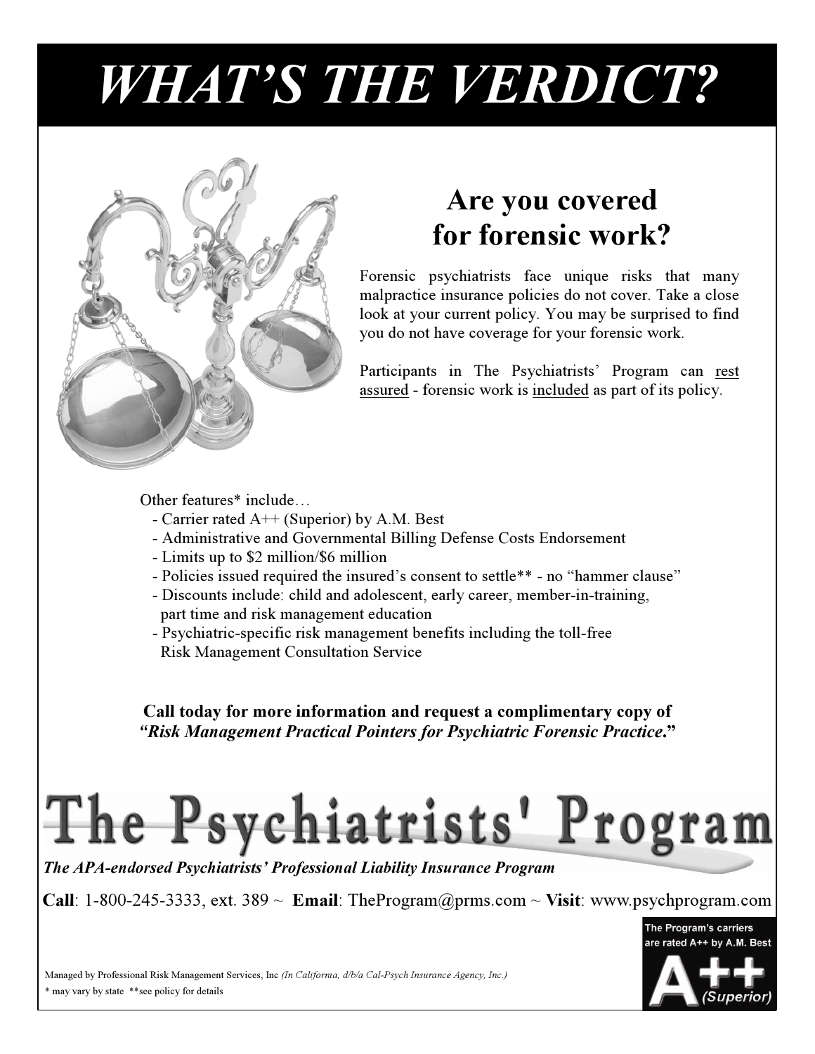# *WHAT'S THE VERDICT?*



### **Are you covered for forensic work?**

Forensic psychiatrists face unique risks that many malpractice insurance policies do not cover. Take a close look at your current policy. You may be surprised to find you do not have coverage for your forensic work.

Participants in The Psychiatrists' Program can rest assured - forensic work is included as part of its policy.

Other features\* include…

- Carrier rated A++ (Superior) by A.M. Best
- Administrative and Governmental Billing Defense Costs Endorsement
- Limits up to \$2 million/\$6 million
- Policies issued required the insured's consent to settle\*\* no "hammer clause"
- Discounts include: child and adolescent, early career, member-in-training,
- part time and risk management education
- Psychiatric-specific risk management benefits including the toll-free Risk Management Consultation Service

**Call today for more information and request a complimentary copy of** *"Risk Management Practical Pointers for Psychiatric Forensic Practice***."** 

# The Psychiatrists' Program

*The APA-endorsed Psychiatrists' Professional Liability Insurance Program*

**Call**: 1-800-245-3333, ext. 389 ~ **Email**: TheProgram@prms.com ~ **Visit**: www.psychprogram.com



Managed by Professional Risk Management Services, Inc *(In California, d/b/a Cal-Psych Insurance Agency, Inc.)* \* may vary by state \*\*see policy for details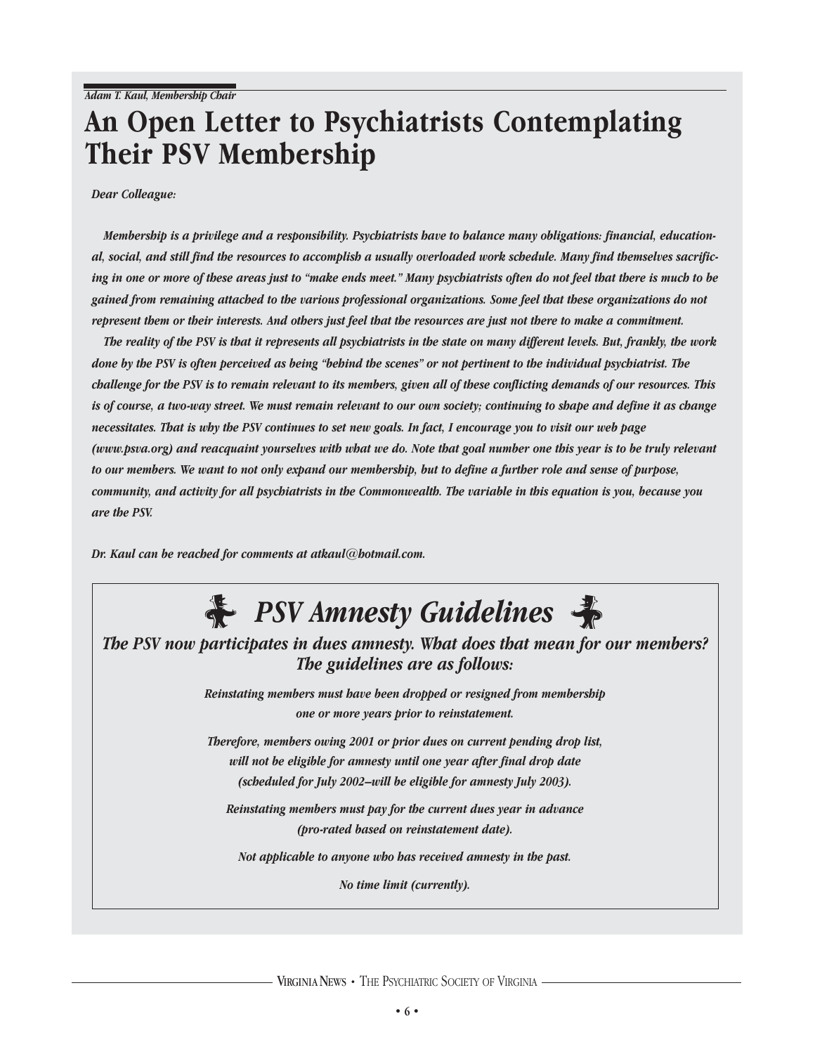### **An Open Letter to Psychiatrists Contemplating Their PSV Membership**

*Dear Colleague:*

*Membership is a privilege and a responsibility. Psychiatrists have to balance many obligations: financial, educational, social, and still find the resources to accomplish a usually overloaded work schedule. Many find themselves sacrificing in one or more of these areas just to "make ends meet." Many psychiatrists often do not feel that there is much to be gained from remaining attached to the various professional organizations. Some feel that these organizations do not represent them or their interests. And others just feel that the resources are just not there to make a commitment.* 

*The reality of the PSV is that it represents all psychiatrists in the state on many different levels. But, frankly, the work done by the PSV is often perceived as being "behind the scenes" or not pertinent to the individual psychiatrist. The challenge for the PSV is to remain relevant to its members, given all of these conflicting demands of our resources. This is of course, a two-way street. We must remain relevant to our own society; continuing to shape and define it as change necessitates. That is why the PSV continues to set new goals. In fact, I encourage you to visit our web page (www.psva.org) and reacquaint yourselves with what we do. Note that goal number one this year is to be truly relevant to our members. We want to not only expand our membership, but to define a further role and sense of purpose, community, and activity for all psychiatrists in the Commonwealth. The variable in this equation is you, because you are the PSV.*

*Dr. Kaul can be reached for comments at atkaul@hotmail.com.*



VIRGINIANEWS **•** THE PSYCHIATRIC SOCIETY OF VIRGINIA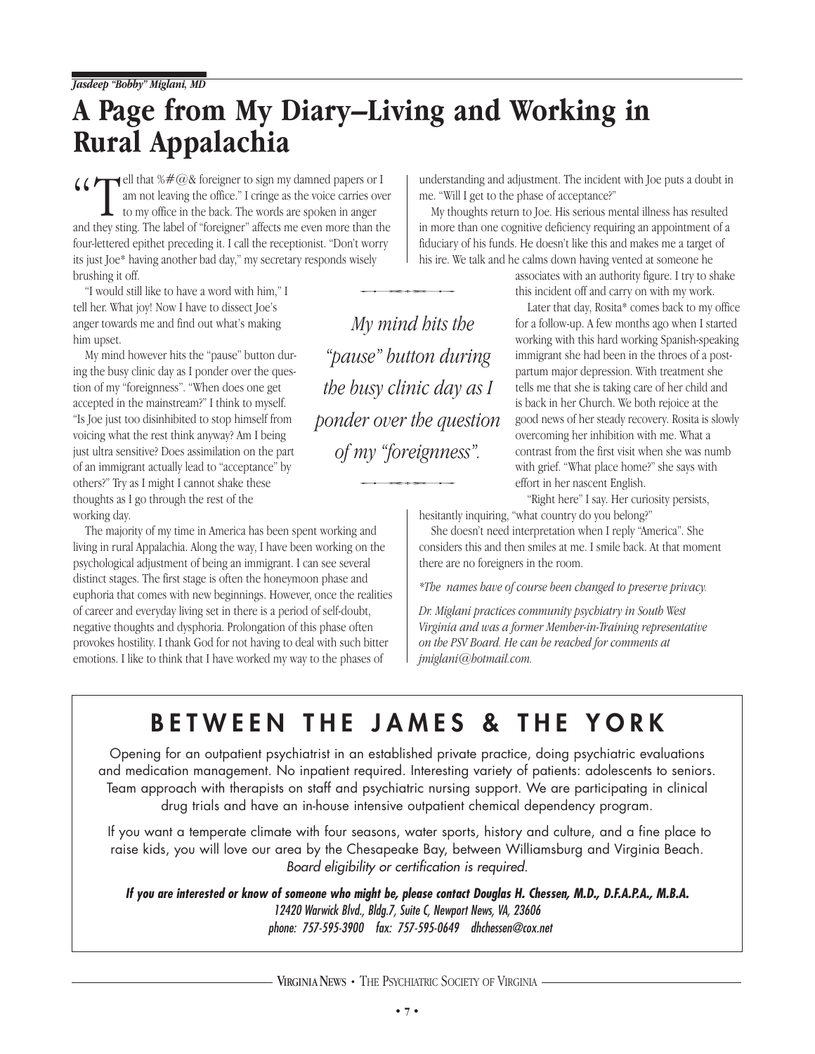### **A Page from My Diary–Living and Working in Rural Appalachia**

 $\left\{\right. \left\{\right. \right\}$   $\left\{\right. \left\{\right. \right\}$   $\left\{\right. \left\{\right. \right\}$  an not leaving the office." I cringe as the voice carries over to my office in the back. The words are spoken in anger and they sting. The label of "foreigner" affe am not leaving the office." I cringe as the voice carries over to my office in the back. The words are spoken in anger and they sting. The label of "foreigner" affects me even more than the four-lettered epithet preceding it. I call the receptionist. "Don't worry its just Joe\* having another bad day," my secretary responds wisely brushing it off. *My mind hits the*<br>*My mind hits the* 

"I would still like to have a word with him," I tell her. What joy! Now I have to dissect Joe's anger towards me and find out what's making him upset.

My mind however hits the "pause" button during the busy clinic day as I ponder over the question of my "foreignness". "When does one get accepted in the mainstream?" I think to myself. "Is Joe just too disinhibited to stop himself from voicing what the rest think anyway? Am I being just ultra sensitive? Does assimilation on the part of an immigrant actually lead to "acceptance" by others?" Try as I might I cannot shake these thoughts as I go through the rest of the working day.

The majority of my time in America has been spent working and living in rural Appalachia. Along the way, I have been working on the psychological adjustment of being an immigrant. I can see several distinct stages. The first stage is often the honeymoon phase and euphoria that comes with new beginnings. However, once the realities of career and everyday living set in there is a period of self-doubt, negative thoughts and dysphoria. Prolongation of this phase often provokes hostility. I thank God for not having to deal with such bitter emotions. I like to think that I have worked my way to the phases of

understanding and adjustment. The incident with Joe puts a doubt in me. "Will I get to the phase of acceptance?"

My thoughts return to Joe. His serious mental illness has resulted in more than one cognitive deficiency requiring an appointment of a fiduciary of his funds. He doesn't like this and makes me a target of his ire. We talk and he calms down having vented at someone he

> associates with an authority figure. I try to shake this incident off and carry on with my work.

Later that day, Rosita\* comes back to my office for a follow-up. A few months ago when I started working with this hard working Spanish-speaking immigrant she had been in the throes of a postpartum major depression. With treatment she tells me that she is taking care of her child and is back in her Church. We both rejoice at the good news of her steady recovery. Rosita is slowly overcoming her inhibition with me. What a contrast from the first visit when she was numb with grief. "What place home?" she says with effort in her nascent English.

"Right here" I say. Her curiosity persists, hesitantly inquiring, "what country do you belong?"

She doesn't need interpretation when I reply "America". She considers this and then smiles at me. I smile back. At that moment there are no foreigners in the room.

*\*The names have of course been changed to preserve privacy.*

*Dr. Miglani practices community psychiatry in South West Virginia and was a former Member-in-Training representative on the PSV Board. He can be reached for comments at jmiglani@hotmail.com.* 

### **BETWEEN THE JAMES & THE YORK**

*"pause" button during* 

*the busy clinic day as I* 

*ponder over the question* 

*of my "foreignness".* n over the questi<br>ny "foreignness".<br>and hesitativing

Opening for an outpatient psychiatrist in an established private practice, doing psychiatric evaluations and medication management. No inpatient required. Interesting variety of patients: adolescents to seniors. Team approach with therapists on staff and psychiatric nursing support. We are participating in clinical drug trials and have an in-house intensive outpatient chemical dependency program.

If you want a temperate climate with four seasons, water sports, history and culture, and a fine place to raise kids, you will love our area by the Chesapeake Bay, between Williamsburg and Virginia Beach. Board eligibility or certification is required.

**If you are interested or know of someone who might be, please contact Douglas H. Chessen, M.D., D.F.A.P.A., M.B.A.** 12420 Warwick Blvd., Bldg.7, Suite C, Newport News, VA, 23606 phone: 757-595-3900 fax: 757-595-0649 dhchessen@cox.net